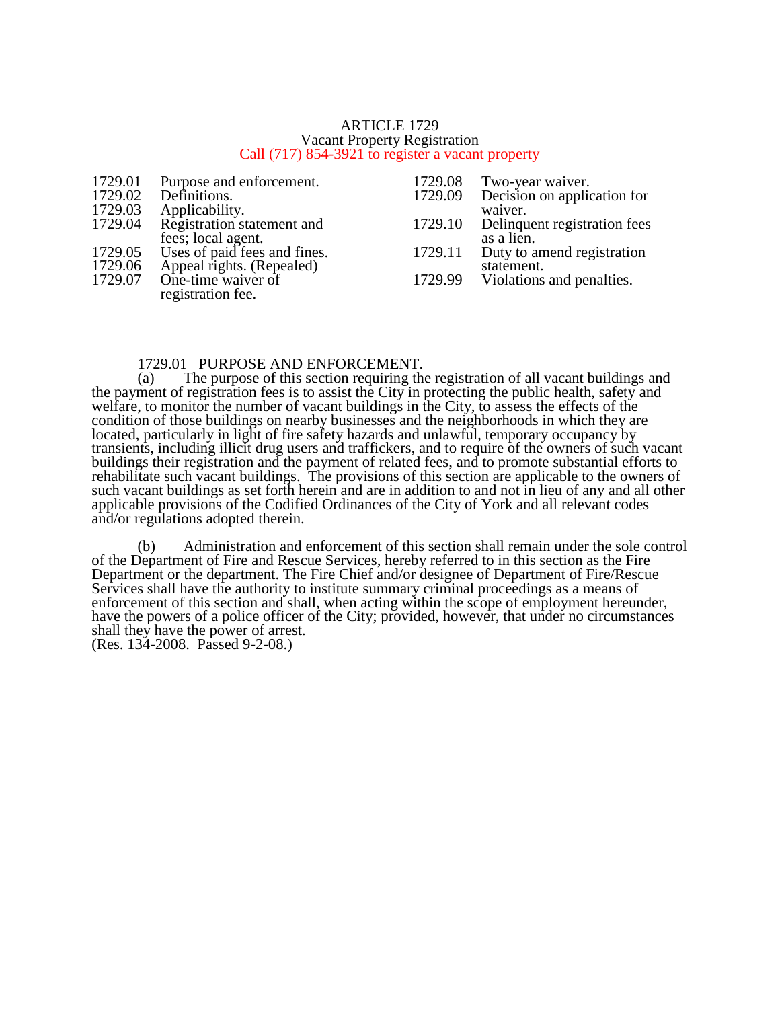#### ARTICLE 1729 Vacant Property Registration Call (717) 854-3921 to register a vacant property

- 1729.01 Purpose and enforcement.<br>1729.02 Definitions.
- 1729.02 Definitions.<br>1729.03 Applicability
- 1729.03 Applicability.<br>1729.04 Registration st

Registration statement and fees; local agent. 1729.05 Uses of paid fees and fines.<br>1729.06 Appeal rights. (Repealed) 1729.06 Appeal rights. (Repealed)<br>1729.07 One-time waiver of One-time waiver of registration fee.

- 1729.08 Two-year waiver.<br>1729.09 Decision on applic
- Decision on application for waiver.
- 1729.10 Delinquent registration fees as a lien.
- 1729.11 Duty to amend registration statement.
- 1729.99 Violations and penalties.

# 1729.01 PURPOSE AND ENFORCEMENT.<br>(a) The purpose of this section requiring the

The purpose of this section requiring the registration of all vacant buildings and the payment of registration fees is to assist the City in protecting the public health, safety and welfare, to monitor the number of vacant buildings in the City, to assess the effects of the condition of those buildings on nearby businesses and the neighborhoods in which they are located, particularly in light of fire safety hazards and unlawful, temporary occupancy by transients, including illicit drug users and traffickers, and to require of the owners of such vacant buildings their registration and the payment of related fees, and to promote substantial efforts to rehabilitate such vacant buildings. The provisions of this section are applicable to the owners of such vacant buildings as set forth herein and are in addition to and not in lieu of any and all other applicable provisions of the Codified Ordinances of the City of York and all relevant codes and/or regulations adopted therein.

(b) Administration and enforcement of this section shall remain under the sole control of the Department of Fire and Rescue Services, hereby referred to in this section as the Fire Department or the department. The Fire Chief and/or designee of Department of Fire/Rescue Services shall have the authority to institute summary criminal proceedings as a means of enforcement of this section and shall, when acting within the scope of employment hereunder, have the powers of a police officer of the City; provided, however, that under no circumstances shall they have the power of arrest.

(Res. 134-2008. Passed 9-2-08.)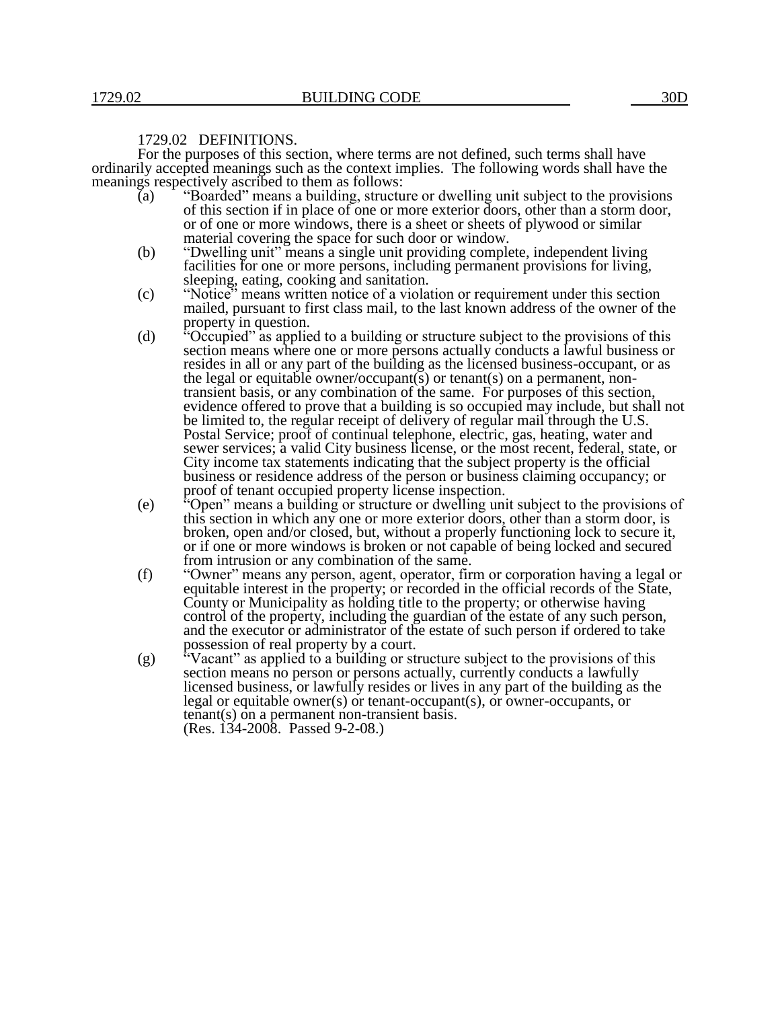## 1729.02 DEFINITIONS.

For the purposes of this section, where terms are not defined, such terms shall have ordinarily accepted meanings such as the context implies. The following words shall have the meanings respectively ascribed to them as follows:<br>(a) "Boarded" means a building, structure

- "Boarded" means a building, structure or dwelling unit subject to the provisions of this section if in place of one or more exterior doors, other than a storm door, or of one or more windows, there is a sheet or sheets of plywood or similar material covering the space for such door or window.
- (b) "Dwelling unit" means a single unit providing complete, independent living facilities for one or more persons, including permanent provisions for living, sleeping, eating, cooking and sanitation.
- (c) "Notice" means written notice of a violation or requirement under this section mailed, pursuant to first class mail, to the last known address of the owner of the property in question.
- (d) "Occupied" as applied to a building or structure subject to the provisions of this section means where one or more persons actually conducts a lawful business or resides in all or any part of the building as the licensed business-occupant, or as the legal or equitable owner/occupant(s) or tenant(s) on a permanent, nontransient basis, or any combination of the same. For purposes of this section, evidence offered to prove that a building is so occupied may include, but shall not be limited to, the regular receipt of delivery of regular mail through the U.S. Postal Service; proof of continual telephone, electric, gas, heating, water and sewer services; a valid City business license, or the most recent, federal, state, or City income tax statements indicating that the subject property is the official business or residence address of the person or business claiming occupancy; or proof of tenant occupied property license inspection.
- (e) "Open" means a building or structure or dwelling unit subject to the provisions of this section in which any one or more exterior doors, other than a storm door, is broken, open and/or closed, but, without a properly functioning lock to secure it, or if one or more windows is broken or not capable of being locked and secured from intrusion or any combination of the same.
- (f) "Owner" means any person, agent, operator, firm or corporation having a legal or equitable interest in the property; or recorded in the official records of the State, County or Municipality as holding title to the property; or otherwise having control of the property, including the guardian of the estate of any such person, and the executor or administrator of the estate of such person if ordered to take possession of real property by a court.
- (g) "Vacant" as applied to a building or structure subject to the provisions of this section means no person or persons actually, currently conducts a lawfully licensed business, or lawfully resides or lives in any part of the building as the legal or equitable owner(s) or tenant-occupant(s), or owner-occupants, or tenant(s) on a permanent non-transient basis. (Res. 134-2008. Passed 9-2-08.)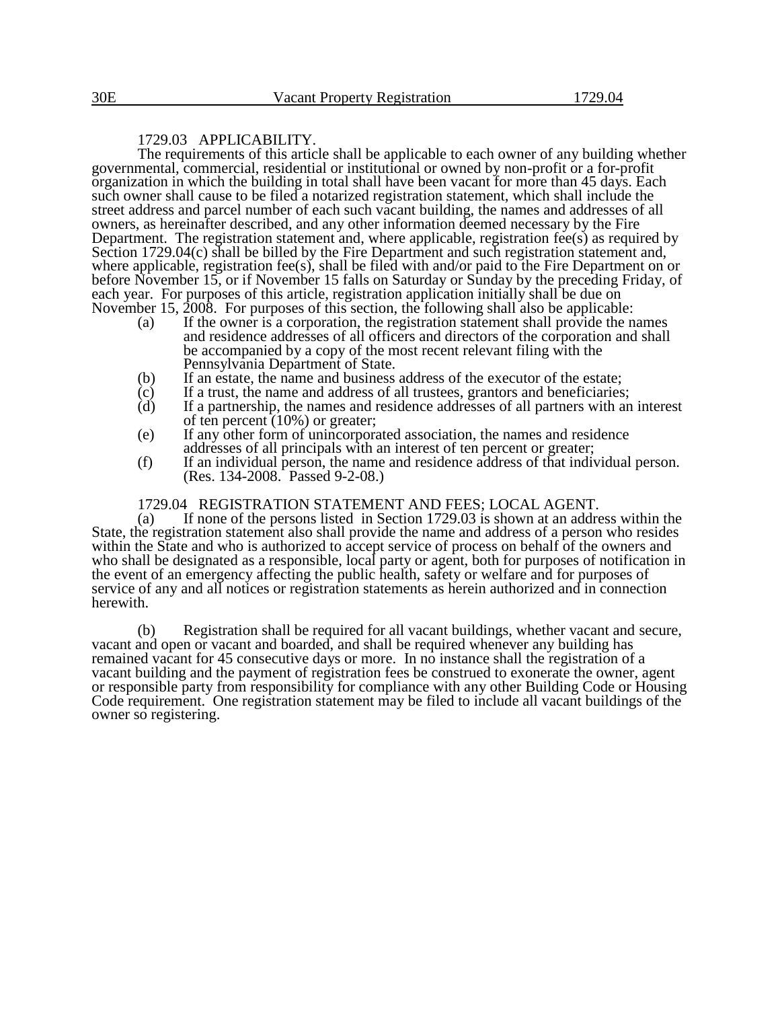## 1729.03 APPLICABILITY.

The requirements of this article shall be applicable to each owner of any building whether governmental, commercial, residential or institutional or owned by non-profit or a for-profit organization in which the building in total shall have been vacant for more than 45 days. Each such owner shall cause to be filed a notarized registration statement, which shall include the street address and parcel number of each such vacant building, the names and addresses of all owners, as hereinafter described, and any other information deemed necessary by the Fire Department. The registration statement and, where applicable, registration fee(s) as required by Section 1729.04(c) shall be billed by the Fire Department and such registration statement and, where applicable, registration fee(s), shall be filed with and/or paid to the Fire Department on or before November 15, or if November 15 falls on Saturday or Sunday by the preceding Friday, of each year. For purposes of this article, registration application initially shall be due on November 15, 2008. For purposes of this section, the following shall also be applicable:

- (a) If the owner is a corporation, the registration statement shall provide the names and residence addresses of all officers and directors of the corporation and shall be accompanied by a copy of the most recent relevant filing with the Pennsylvania Department of State.
- (b) If an estate, the name and business address of the executor of the estate;
- $\overrightarrow{c}$  If a trust, the name and address of all trustees, grantors and beneficiaries;<br>(d) If a partnership, the names and residence addresses of all partners with an
- If a partnership, the names and residence addresses of all partners with an interest of ten percent (10%) or greater;
- (e) If any other form of unincorporated association, the names and residence addresses of all principals with an interest of ten percent or greater;
- (f) If an individual person, the name and residence address of that individual person. (Res. 134-2008. Passed 9-2-08.)

# 1729.04 REGISTRATION STATEMENT AND FEES; LOCAL AGENT.<br>(a) If none of the persons listed in Section 1729.03 is shown at an addre

If none of the persons listed in Section  $1729.03$  is shown at an address within the State, the registration statement also shall provide the name and address of a person who resides within the State and who is authorized to accept service of process on behalf of the owners and who shall be designated as a responsible, local party or agent, both for purposes of notification in the event of an emergency affecting the public health, safety or welfare and for purposes of service of any and all notices or registration statements as herein authorized and in connection herewith.

(b) Registration shall be required for all vacant buildings, whether vacant and secure, vacant and open or vacant and boarded, and shall be required whenever any building has remained vacant for 45 consecutive days or more. In no instance shall the registration of a vacant building and the payment of registration fees be construed to exonerate the owner, agent or responsible party from responsibility for compliance with any other Building Code or Housing Code requirement. One registration statement may be filed to include all vacant buildings of the owner so registering.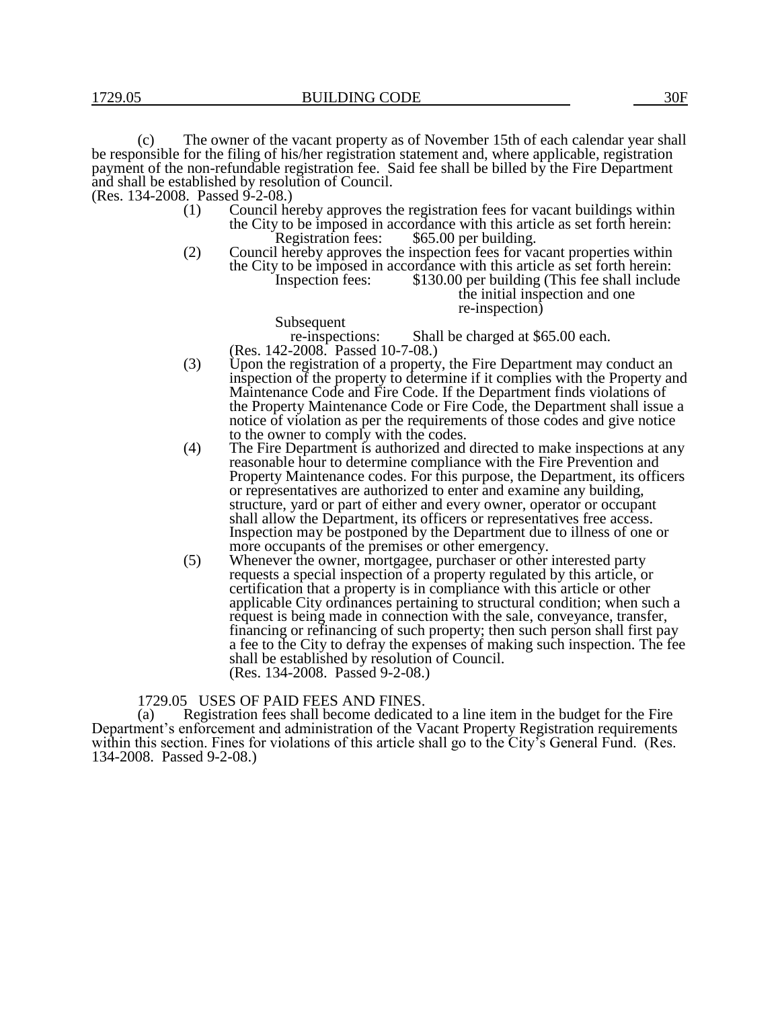(c) The owner of the vacant property as of November 15th of each calendar year shall be responsible for the filing of his/her registration statement and, where applicable, registration payment of the non-refundable registration fee. Said fee shall be billed by the Fire Department and shall be established by resolution of Council.

(Res. 134-2008. Passed 9-2-08.)

- (1) Council hereby approves the registration fees for vacant buildings within the City to be imposed in accordance with this article as set forth herein:<br>Registration fees: \$65.00 per building.  $$65.00$  per building.
- (2) Council hereby approves the inspection fees for vacant properties within the City to be imposed in accordance with this article as set forth herein:<br>Inspection fees: \$130.00 per building (This fee shall include  $$130.00$  per building (This fee shall include

the initial inspection and one re-inspection)

Subsequent<br>re-inspections: Shall be charged at \$65.00 each. (Res. 142-2008. Passed 10-7-08.)

- (3) Upon the registration of a property, the Fire Department may conduct an inspection of the property to determine if it complies with the Property and Maintenance Code and Fire Code. If the Department finds violations of the Property Maintenance Code or Fire Code, the Department shall issue a notice of violation as per the requirements of those codes and give notice to the owner to comply with the codes.
- (4) The Fire Department is authorized and directed to make inspections at any reasonable hour to determine compliance with the Fire Prevention and Property Maintenance codes. For this purpose, the Department, its officers or representatives are authorized to enter and examine any building, structure, yard or part of either and every owner, operator or occupant shall allow the Department, its officers or representatives free access. Inspection may be postponed by the Department due to illness of one or more occupants of the premises or other emergency.
- (5) Whenever the owner, mortgagee, purchaser or other interested party requests a special inspection of a property regulated by this article, or certification that a property is in compliance with this article or other applicable City ordinances pertaining to structural condition; when such a request is being made in connection with the sale, conveyance, transfer, financing or refinancing of such property; then such person shall first pay a fee to the City to defray the expenses of making such inspection. The fee shall be established by resolution of Council. (Res. 134-2008. Passed 9-2-08.)

1729.05 USES OF PAID FEES AND FINES.

(a) Registration fees shall become dedicated to a line item in the budget for the Fire Department's enforcement and administration of the Vacant Property Registration requirements within this section. Fines for violations of this article shall go to the City's General Fund. (Res. 134-2008. Passed 9-2-08.)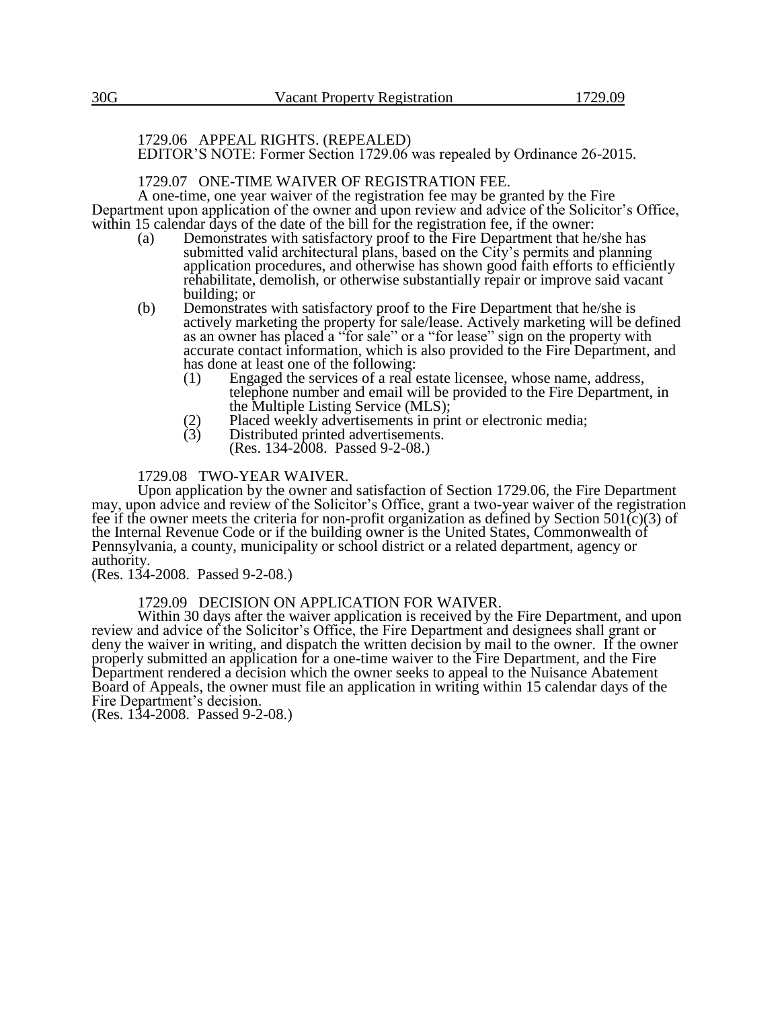### 1729.06 APPEAL RIGHTS. (REPEALED) EDITOR'S NOTE: Former Section 1729.06 was repealed by Ordinance 26-2015.

## 1729.07 ONE-TIME WAIVER OF REGISTRATION FEE.

A one-time, one year waiver of the registration fee may be granted by the Fire Department upon application of the owner and upon review and advice of the Solicitor's Office, within 15 calendar days of the date of the bill for the registration fee, if the owner:

- (a) Demonstrates with satisfactory proof to the Fire Department that he/she has submitted valid architectural plans, based on the City's permits and planning application procedures, and otherwise has shown good faith efforts to efficiently rehabilitate, demolish, or otherwise substantially repair or improve said vacant building; or
- (b) Demonstrates with satisfactory proof to the Fire Department that he/she is actively marketing the property for sale/lease. Actively marketing will be defined as an owner has placed a "for sale" or a "for lease" sign on the property with accurate contact information, which is also provided to the Fire Department, and has done at least one of the following:<br>(1) Engaged the services of a real
	- Engaged the services of a real estate licensee, whose name, address, telephone number and email will be provided to the Fire Department, in the Multiple Listing Service (MLS);
	- (2) Placed weekly advertisements in print or electronic media;<br>(3) Distributed printed advertisements.
	- Distributed printed advertisements. (Res. 134-2008. Passed 9-2-08.)

## 1729.08 TWO-YEAR WAIVER.

Upon application by the owner and satisfaction of Section 1729.06, the Fire Department may, upon advice and review of the Solicitor's Office, grant a two-year waiver of the registration fee if the owner meets the criteria for non-profit organization as defined by Section  $501(c)(3)$  of the Internal Revenue Code or if the building owner is the United States, Commonwealth of Pennsylvania, a county, municipality or school district or a related department, agency or authority.

(Res. 134-2008. Passed 9-2-08.)

### 1729.09 DECISION ON APPLICATION FOR WAIVER.

Within 30 days after the waiver application is received by the Fire Department, and upon review and advice of the Solicitor's Office, the Fire Department and designees shall grant or deny the waiver in writing, and dispatch the written decision by mail to the owner. If the owner properly submitted an application for a one-time waiver to the Fire Department, and the Fire Department rendered a decision which the owner seeks to appeal to the Nuisance Abatement Board of Appeals, the owner must file an application in writing within 15 calendar days of the Fire Department's decision.

(Res. 134-2008. Passed 9-2-08.)